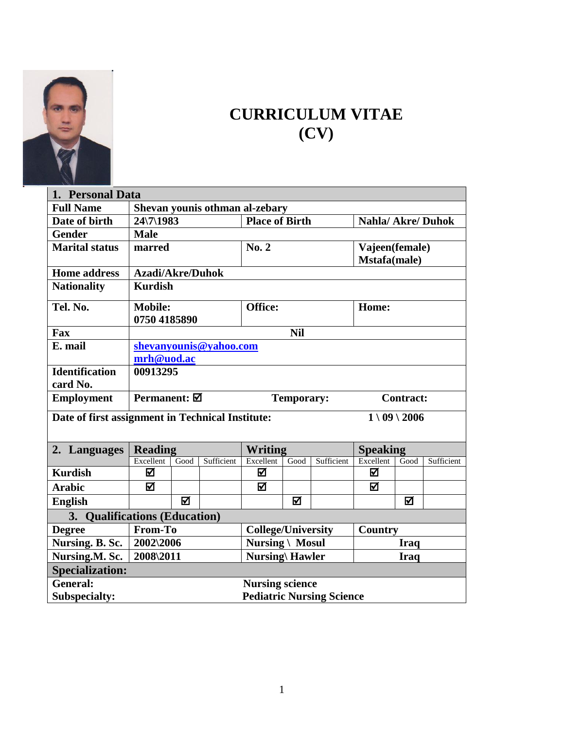

## **CURRICULUM VITAE (CV)**

| 1. Personal Data                                 |                                                               |      |            |                           |      |            |                 |             |            |
|--------------------------------------------------|---------------------------------------------------------------|------|------------|---------------------------|------|------------|-----------------|-------------|------------|
| <b>Full Name</b>                                 | Shevan younis othman al-zebary                                |      |            |                           |      |            |                 |             |            |
| Date of birth                                    | <b>Nahla/Akre/Duhok</b><br><b>Place of Birth</b><br>24\7\1983 |      |            |                           |      |            |                 |             |            |
| <b>Gender</b>                                    | <b>Male</b>                                                   |      |            |                           |      |            |                 |             |            |
| <b>Marital status</b>                            | marred                                                        |      |            | No. 2                     |      |            | Vajeen(female)  |             |            |
|                                                  |                                                               |      |            |                           |      |            | Mstafa(male)    |             |            |
| <b>Home address</b>                              | <b>Azadi/Akre/Duhok</b>                                       |      |            |                           |      |            |                 |             |            |
| <b>Nationality</b>                               | <b>Kurdish</b>                                                |      |            |                           |      |            |                 |             |            |
| Tel. No.                                         | <b>Mobile:</b>                                                |      |            | Office:                   |      |            | Home:           |             |            |
|                                                  | 0750 4185890                                                  |      |            |                           |      |            |                 |             |            |
| Fax                                              | <b>Nil</b>                                                    |      |            |                           |      |            |                 |             |            |
| E. mail                                          | shevanyounis@yahoo.com                                        |      |            |                           |      |            |                 |             |            |
|                                                  | mrh@uod.ac                                                    |      |            |                           |      |            |                 |             |            |
| <b>Identification</b>                            | 00913295                                                      |      |            |                           |      |            |                 |             |            |
| card No.                                         |                                                               |      |            |                           |      |            |                 |             |            |
| <b>Employment</b>                                | Permanent: Ø<br><b>Temporary:</b><br><b>Contract:</b>         |      |            |                           |      |            |                 |             |            |
|                                                  |                                                               |      |            |                           |      |            | $1 \ 09 \ 2006$ |             |            |
| Date of first assignment in Technical Institute: |                                                               |      |            |                           |      |            |                 |             |            |
| 2. Languages                                     | <b>Reading</b>                                                |      |            | <b>Writing</b>            |      |            | <b>Speaking</b> |             |            |
|                                                  | Excellent                                                     | Good | Sufficient | Excellent                 | Good | Sufficient | Excellent       | Good        | Sufficient |
| <b>Kurdish</b>                                   | ☑                                                             |      |            | ☑                         |      |            | ☑               |             |            |
| <b>Arabic</b>                                    | ☑                                                             |      |            | 冈                         |      |            | ☑               |             |            |
| <b>English</b>                                   |                                                               | ☑    |            |                           | ☑    |            |                 | ☑           |            |
| 3. Qualifications (Education)                    |                                                               |      |            |                           |      |            |                 |             |            |
| <b>Degree</b>                                    | From-To                                                       |      |            | <b>College/University</b> |      |            | Country         |             |            |
| Nursing. B. Sc.                                  | 2002\2006                                                     |      |            | <b>Nursing \ Mosul</b>    |      |            |                 | <b>Iraq</b> |            |
| Nursing.M. Sc.                                   | 2008\2011                                                     |      |            | <b>Nursing\ Hawler</b>    |      |            |                 | <b>Iraq</b> |            |
| <b>Specialization:</b>                           |                                                               |      |            |                           |      |            |                 |             |            |
| <b>General:</b>                                  |                                                               |      |            | <b>Nursing science</b>    |      |            |                 |             |            |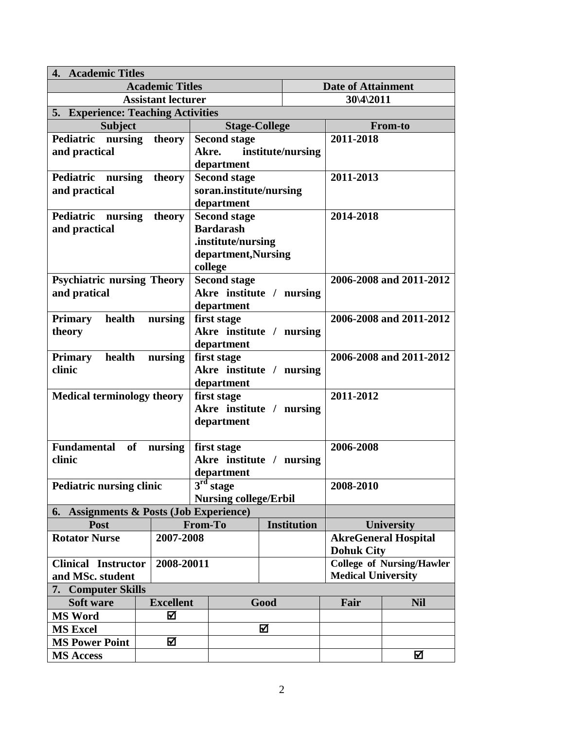| 4. Academic Titles                      |                   |                  |                              |                          |   |                           |                           |                                  |  |
|-----------------------------------------|-------------------|------------------|------------------------------|--------------------------|---|---------------------------|---------------------------|----------------------------------|--|
| <b>Academic Titles</b>                  |                   |                  |                              |                          |   | <b>Date of Attainment</b> |                           |                                  |  |
| <b>Assistant lecturer</b>               |                   |                  |                              |                          |   |                           | $30\frac{4}{2011}$        |                                  |  |
| 5. Experience: Teaching Activities      |                   |                  |                              |                          |   |                           |                           |                                  |  |
| <b>Subject</b>                          |                   |                  |                              | <b>Stage-College</b>     |   |                           | <b>From-to</b>            |                                  |  |
| Pediatric nursing                       |                   | theory           | <b>Second stage</b>          |                          |   |                           | 2011-2018                 |                                  |  |
| and practical                           |                   |                  |                              | Akre.                    |   | institute/nursing         |                           |                                  |  |
|                                         |                   |                  | department                   |                          |   |                           |                           |                                  |  |
| Pediatric                               | nursing<br>theory |                  |                              | <b>Second stage</b>      |   |                           | 2011-2013                 |                                  |  |
| and practical                           |                   |                  | soran.institute/nursing      |                          |   |                           |                           |                                  |  |
|                                         |                   |                  |                              | department               |   |                           |                           |                                  |  |
| Pediatric nursing                       | theory            |                  |                              | <b>Second stage</b>      |   |                           | 2014-2018                 |                                  |  |
| and practical                           |                   |                  |                              | <b>Bardarash</b>         |   |                           |                           |                                  |  |
|                                         |                   |                  |                              | .institute/nursing       |   |                           |                           |                                  |  |
|                                         |                   |                  |                              | department, Nursing      |   |                           |                           |                                  |  |
|                                         |                   |                  |                              | college                  |   |                           |                           |                                  |  |
| <b>Psychiatric nursing Theory</b>       |                   |                  |                              | <b>Second stage</b>      |   |                           | 2006-2008 and 2011-2012   |                                  |  |
| and pratical                            |                   |                  |                              | Akre institute / nursing |   |                           |                           |                                  |  |
|                                         |                   |                  |                              | department               |   |                           |                           |                                  |  |
| health<br><b>Primary</b>                |                   | nursing          |                              | first stage              |   |                           |                           | 2006-2008 and 2011-2012          |  |
| theory                                  |                   |                  |                              | Akre institute / nursing |   |                           |                           |                                  |  |
|                                         |                   |                  |                              | department               |   |                           |                           |                                  |  |
| health<br><b>Primary</b>                |                   | nursing          | first stage                  |                          |   |                           | 2006-2008 and 2011-2012   |                                  |  |
| clinic                                  |                   |                  | Akre institute / nursing     |                          |   |                           |                           |                                  |  |
|                                         |                   |                  | department                   |                          |   |                           |                           |                                  |  |
| <b>Medical terminology theory</b>       |                   |                  | first stage                  |                          |   |                           | 2011-2012                 |                                  |  |
|                                         |                   |                  |                              | Akre institute / nursing |   |                           |                           |                                  |  |
|                                         |                   |                  |                              | department               |   |                           |                           |                                  |  |
|                                         |                   |                  |                              |                          |   |                           |                           |                                  |  |
| <b>Fundamental</b><br>of                |                   | nursing          |                              | first stage              |   |                           | 2006-2008                 |                                  |  |
| clinic                                  |                   |                  | Akre institute / nursing     |                          |   |                           |                           |                                  |  |
|                                         |                   |                  | department                   |                          |   |                           |                           |                                  |  |
| <b>Pediatric nursing clinic</b>         |                   |                  | $3rd$ stage                  |                          |   |                           | 2008-2010                 |                                  |  |
|                                         |                   |                  | <b>Nursing college/Erbil</b> |                          |   |                           |                           |                                  |  |
| 6. Assignments & Posts (Job Experience) |                   |                  |                              |                          |   |                           |                           |                                  |  |
| Post                                    |                   |                  | From-To                      |                          |   | <b>Institution</b>        |                           | <b>University</b>                |  |
| <b>Rotator Nurse</b>                    |                   | 2007-2008        |                              |                          |   |                           |                           | <b>AkreGeneral Hospital</b>      |  |
|                                         |                   |                  |                              |                          |   |                           | <b>Dohuk City</b>         |                                  |  |
| <b>Clinical Instructor</b>              |                   | 2008-20011       |                              |                          |   |                           |                           | <b>College of Nursing/Hawler</b> |  |
| and MSc. student                        |                   |                  |                              |                          |   |                           | <b>Medical University</b> |                                  |  |
| 7. Computer Skills                      |                   |                  |                              |                          |   |                           |                           |                                  |  |
| Soft ware                               |                   | <b>Excellent</b> | Good                         |                          |   |                           | Fair                      | <b>Nil</b>                       |  |
| <b>MS Word</b>                          |                   | ☑                |                              |                          |   |                           |                           |                                  |  |
| <b>MS Excel</b>                         |                   |                  |                              |                          | ☑ |                           |                           |                                  |  |
| <b>MS Power Point</b>                   |                   | ☑                |                              |                          |   |                           |                           |                                  |  |
| <b>MS Access</b>                        |                   |                  |                              |                          |   |                           |                           | ☑                                |  |